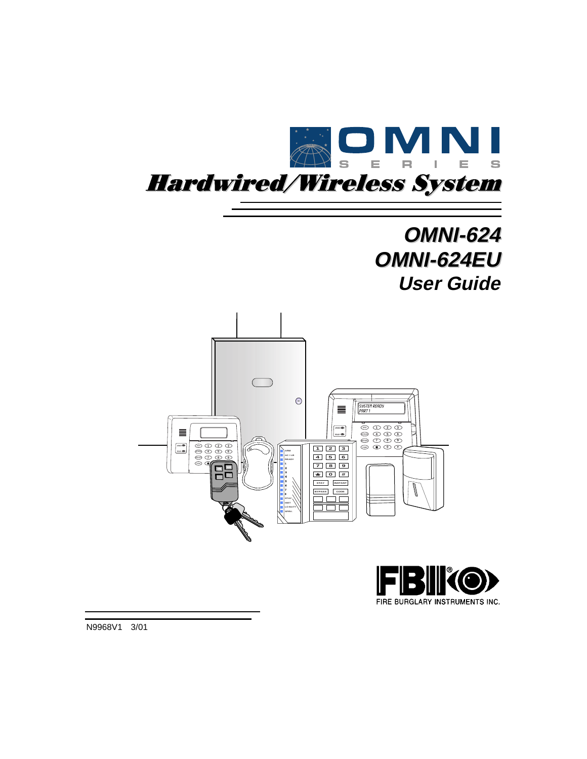

# **OMNI-624 OMNI-624EU User Guide**





N9968V1 3/01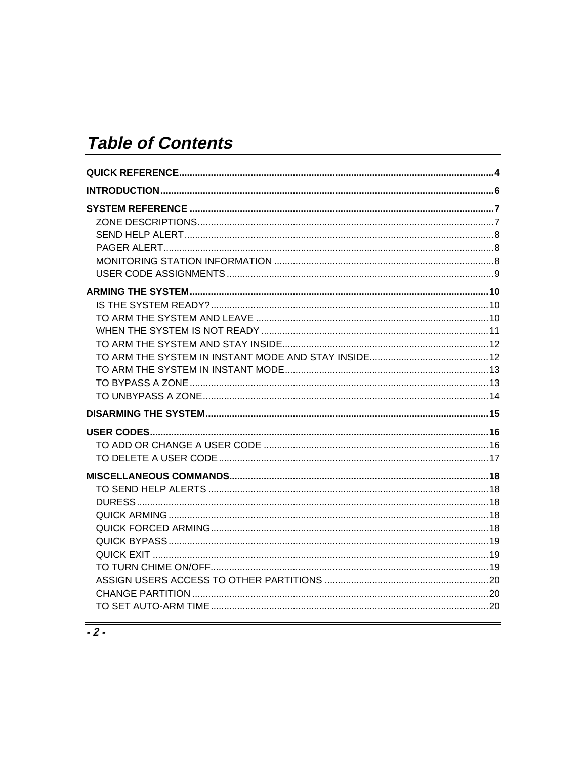# **Table of Contents**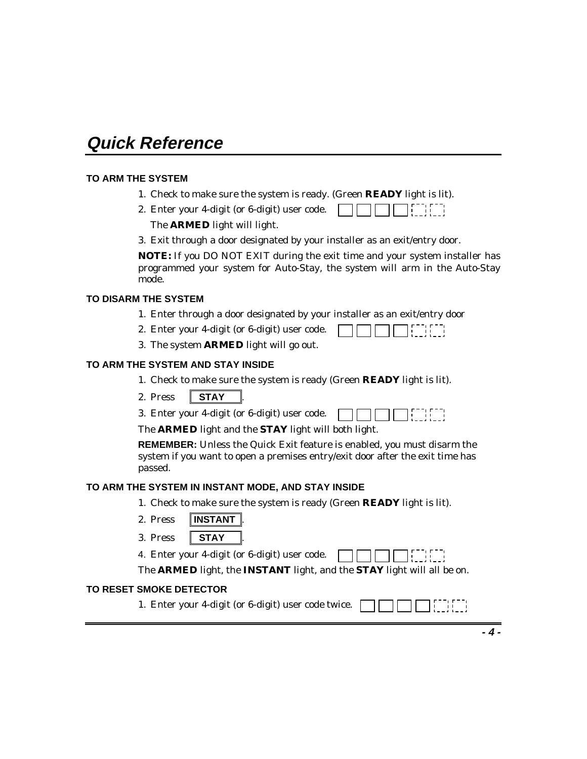# **Quick Reference**

#### **TO ARM THE SYSTEM**

- 1. Check to make sure the system is ready. (Green **READY** light is lit).
- 2. Enter your 4-digit (or 6-digit) user code. <u>י יונדון</u> The **ARMED** light will light.
- 3. Exit through a door designated by your installer as an exit/entry door.

**NOTE:** If you DO NOT EXIT during the exit time and your system installer has programmed your system for Auto-Stay, the system will arm in the Auto-Stay mode.

#### **TO DISARM THE SYSTEM**

- 1. Enter through a door designated by your installer as an exit/entry door
- 2. Enter your 4-digit (or 6-digit) user code. i ii i
- 3. The system **ARMED** light will go out.

#### **TO ARM THE SYSTEM AND STAY INSIDE**

- 1. Check to make sure the system is ready (Green **READY** light is lit).
- 2. Press **STAY**
- 3. Enter your 4-digit (or 6-digit) user code.

The **ARMED** light and the **STAY** light will both light.

**REMEMBER:** Unless the Quick Exit feature is enabled, you must disarm the system if you want to open a premises entry/exit door after the exit time has passed.

#### **TO ARM THE SYSTEM IN INSTANT MODE, AND STAY INSIDE**

- 1. Check to make sure the system is ready (Green **READY** light is lit).
- 2. Press **INSTANT**
- 3. Press **STAY** .

4. Enter your 4-digit (or 6-digit) user code.

The **ARMED** light, the **INSTANT** light, and the **STAY** light will all be on.

#### **TO RESET SMOKE DETECTOR**

1. Enter your 4-digit (or 6-digit) user code twice.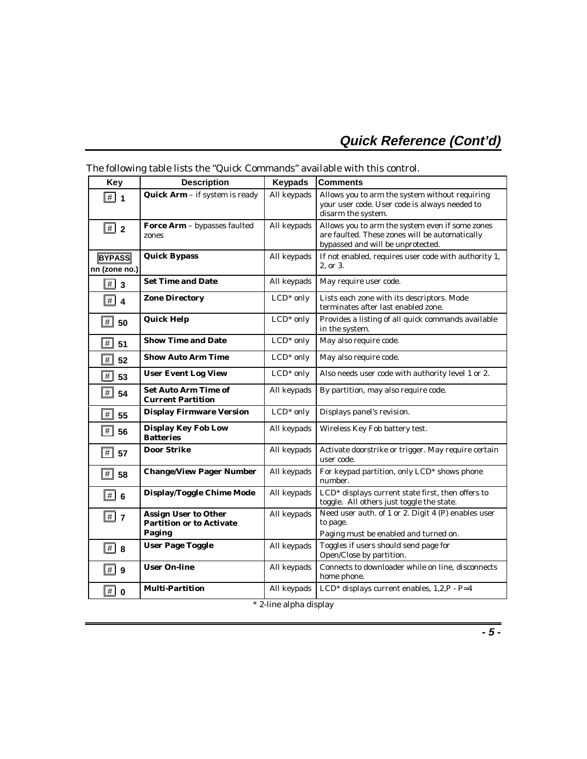# **Quick Reference (Cont'd)**

| <b>Key</b>                     | <b>Description</b>                                                       | <b>Keypads</b>         | <b>Comments</b>                                                                                                                        |
|--------------------------------|--------------------------------------------------------------------------|------------------------|----------------------------------------------------------------------------------------------------------------------------------------|
| $\Vert \# \Vert$ 1             | Quick Arm - if system is ready                                           | All keypads            | Allows you to arm the system without requiring<br>your user code. User code is always needed to<br>disarm the system.                  |
| #<br>$\overline{2}$            | <b>Force Arm</b> – bypasses faulted<br>zones                             | All keypads            | Allows you to arm the system even if some zones<br>are faulted. These zones will be automatically<br>bypassed and will be unprotected. |
| <b>BYPASS</b><br>nn (zone no.) | <b>Quick Bypass</b>                                                      | All keypads            | If not enabled, requires user code with authority 1,<br>2. or 3.                                                                       |
| #<br>$\overline{\mathbf{3}}$   | <b>Set Time and Date</b>                                                 | All keypads            | May require user code.                                                                                                                 |
| $\vert \# \vert$ 4             | <b>Zone Directory</b>                                                    | $LCD*$ only            | Lists each zone with its descriptors. Mode<br>terminates after last enabled zone.                                                      |
| $\boxed{\#}$ 50                | <b>Quick Help</b>                                                        | LCD <sup>*</sup> only  | Provides a listing of all quick commands available<br>in the system.                                                                   |
| #<br>51                        | <b>Show Time and Date</b>                                                | $LCD*$ only            | May also require code.                                                                                                                 |
| #<br>52                        | <b>Show Auto Arm Time</b>                                                | $LCD*$ only            | May also require code.                                                                                                                 |
| #<br>53                        | <b>User Event Log View</b>                                               | $LCD*$ only            | Also needs user code with authority level 1 or 2.                                                                                      |
| #<br>54                        | <b>Set Auto Arm Time of</b><br><b>Current Partition</b>                  | All keypads            | By partition, may also require code.                                                                                                   |
| #<br>55                        | <b>Display Firmware Version</b>                                          | $LCD*$ only            | Displays panel's revision.                                                                                                             |
| #<br>56                        | <b>Display Key Fob Low</b><br><b>Batteries</b>                           | All keypads            | Wireless Key Fob battery test.                                                                                                         |
| $\#$ 57                        | <b>Door Strike</b>                                                       | All keypads            | Activate doorstrike or trigger. May require certain<br>user code.                                                                      |
| $\overline{\#}$<br>58          | <b>Change/View Pager Number</b>                                          | All keypads            | For keypad partition, only LCD <sup>*</sup> shows phone<br>number.                                                                     |
| $\boxed{\#}$ 6                 | <b>Display/Toggle Chime Mode</b>                                         | All keypads            | LCD <sup>*</sup> displays current state first, then offers to<br>toggle. All others just toggle the state.                             |
| $\Vert \sharp \Vert$ 7         | <b>Assign User to Other</b><br><b>Partition or to Activate</b><br>Paging | All keypads            | Need user auth. of 1 or 2. Digit 4 (P) enables user<br>to page.<br>Paging must be enabled and turned on.                               |
| $\vert \vert \vert$<br>8       | <b>User Page Toggle</b>                                                  | All keypads            | Toggles if users should send page for<br>Open/Close by partition.                                                                      |
| #<br>9                         | <b>User On-line</b>                                                      | All keypads            | Connects to downloader while on line, disconnects<br>home phone.                                                                       |
| $\vert \# \vert$<br>$\bf{0}$   | <b>Multi-Partition</b>                                                   | All keypads            | LCD* displays current enables, 1,2,P - P=4                                                                                             |
|                                |                                                                          | * 2-ling alpha dieplay |                                                                                                                                        |

### The following table lists the "Quick Commands" available with this control.

2-line alpha display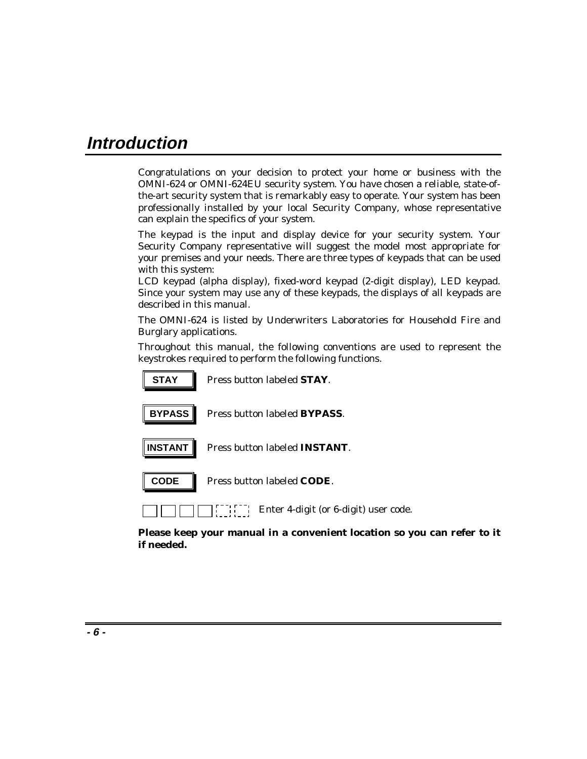# **Introduction**

Congratulations on your decision to protect your home or business with the OMNI-624 or OMNI-624EU security system. You have chosen a reliable, state-ofthe-art security system that is remarkably easy to operate. Your system has been professionally installed by your local Security Company, whose representative can explain the specifics of your system.

The keypad is the input and display device for your security system. Your Security Company representative will suggest the model most appropriate for your premises and your needs. There are three types of keypads that can be used with this system:

LCD keypad (alpha display), fixed-word keypad (2-digit display), LED keypad. Since your system may use any of these keypads, the displays of all keypads are described in this manual.

The OMNI-624 is listed by Underwriters Laboratories for Household Fire and Burglary applications.

Throughout this manual, the following conventions are used to represent the keystrokes required to perform the following functions.

| <b>STAY</b>    | Press button labeled <b>STAY</b> .                     |
|----------------|--------------------------------------------------------|
| <b>BYPASS</b>  | Press button labeled <b>BYPASS</b> .                   |
| <b>INSTANT</b> | Press button labeled <b>INSTANT</b> .                  |
| CODE           | Press button labeled CODE.                             |
|                | [[[[[[[[[[[[]]]] Enter 4-digit (or 6-digit) user code. |

**Please keep your manual in a convenient location so you can refer to it if needed.**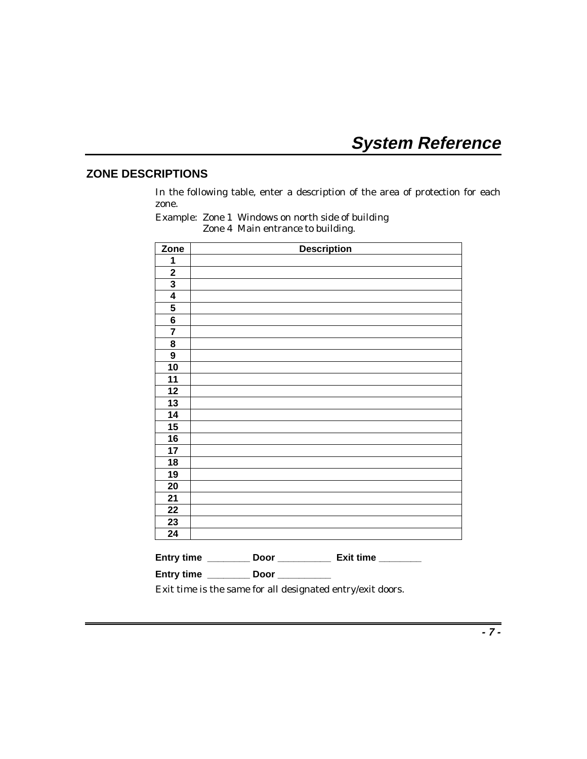# **System Reference**

### **ZONE DESCRIPTIONS**

In the following table, enter a description of the area of protection for each zone.

| Zone                     | <b>Description</b>                                           |
|--------------------------|--------------------------------------------------------------|
|                          |                                                              |
| 1                        |                                                              |
|                          |                                                              |
| $\frac{2}{3}$            |                                                              |
|                          |                                                              |
| $\frac{5}{6}$            |                                                              |
|                          |                                                              |
| $\overline{\mathbf{7}}$  |                                                              |
| 8                        |                                                              |
| 9                        |                                                              |
| $\overline{10}$          |                                                              |
| 11                       |                                                              |
| 12                       |                                                              |
| $\overline{\mathbf{13}}$ |                                                              |
| $\overline{14}$          |                                                              |
| 15                       |                                                              |
| 16                       |                                                              |
| 17                       |                                                              |
| <u>18</u>                |                                                              |
| 19                       |                                                              |
| 20                       |                                                              |
| 21                       |                                                              |
| $\overline{22}$          |                                                              |
| $\overline{23}$          |                                                              |
| 24                       |                                                              |
|                          | Entry time _______<br>Door ________________ Exit time ______ |

Example: Zone 1 Windows on north side of building Zone 4 Main entrance to building.

Exit time is the same for all designated entry/exit doors.

**Entry time \_\_\_\_\_\_\_\_ Door \_\_\_\_\_\_\_\_\_\_**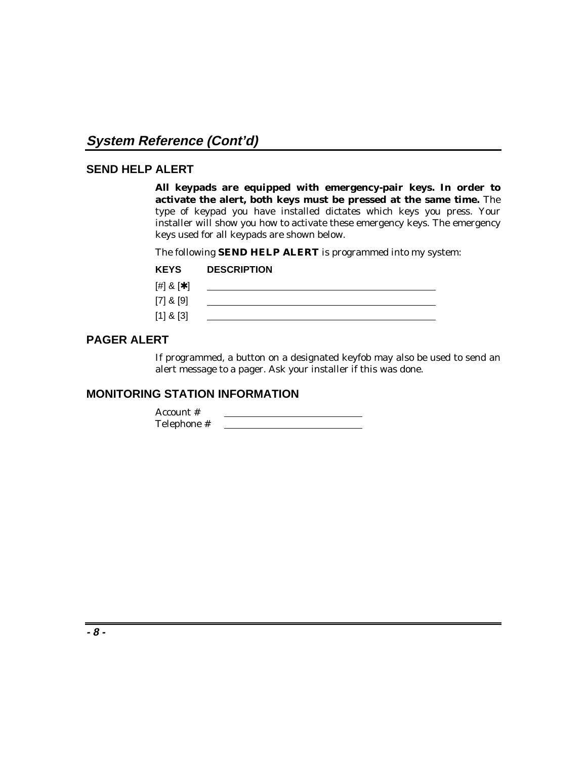### **SEND HELP ALERT**

**All keypads are equipped with emergency-pair keys. In order to activate the alert, both keys must be pressed at the same time.** The type of keypad you have installed dictates which keys you press. Your installer will show you how to activate these emergency keys. The emergency keys used for all keypads are shown below.

The following **SEND HELP ALERT** is programmed into my system:

| <b>KEYS</b>          | <b>DESCRIPTION</b> |
|----------------------|--------------------|
| $[$ #] & [ $\star$ ] |                    |
| $[7]$ & $[9]$        |                    |
| $[1]$ & $[3]$        |                    |

## **PAGER ALERT**

If programmed, a button on a designated keyfob may also be used to send an alert message to a pager. Ask your installer if this was done.

#### **MONITORING STATION INFORMATION**

Account # Telephone #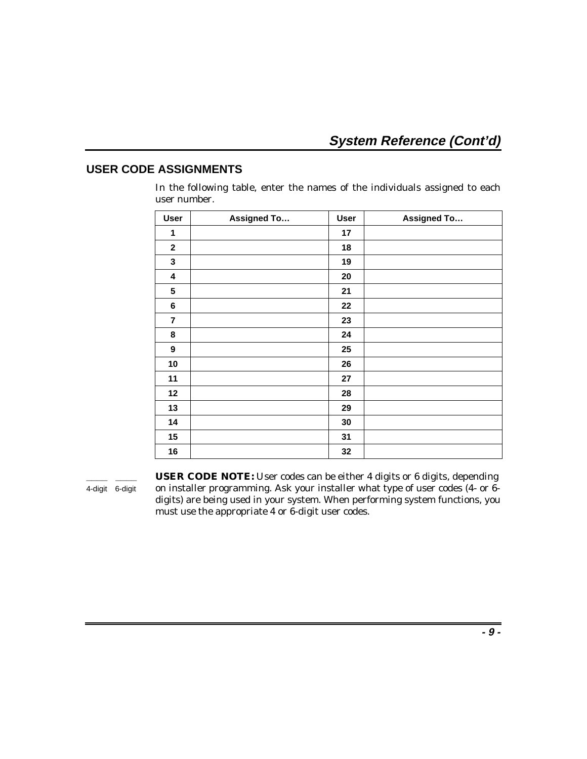### **USER CODE ASSIGNMENTS**

In the following table, enter the names of the individuals assigned to each user number.

| <b>User</b>             | <b>Assigned To</b> | <b>User</b> | <b>Assigned To</b> |
|-------------------------|--------------------|-------------|--------------------|
| 1                       |                    | 17          |                    |
| $\mathbf{2}$            |                    | 18          |                    |
| $\mathbf{3}$            |                    | 19          |                    |
| 4                       |                    | 20          |                    |
| $5\phantom{1}$          |                    | 21          |                    |
| $\bf 6$                 |                    | 22          |                    |
| $\overline{\mathbf{r}}$ |                    | 23          |                    |
| 8                       |                    | 24          |                    |
| 9                       |                    | 25          |                    |
| 10                      |                    | 26          |                    |
| 11                      |                    | 27          |                    |
| 12                      |                    | 28          |                    |
| 13                      |                    | 29          |                    |
| 14                      |                    | 30          |                    |
| 15                      |                    | 31          |                    |
| 16                      |                    | 32          |                    |

**\_\_\_\_ \_\_\_\_ USER CODE NOTE:** User codes can be either 4 digits or 6 digits, depending 4-digit 6-digit on installer programming. Ask your installer what type of user codes (4- or 6digits) are being used in your system. When performing system functions, you must use the appropriate 4 or 6-digit user codes.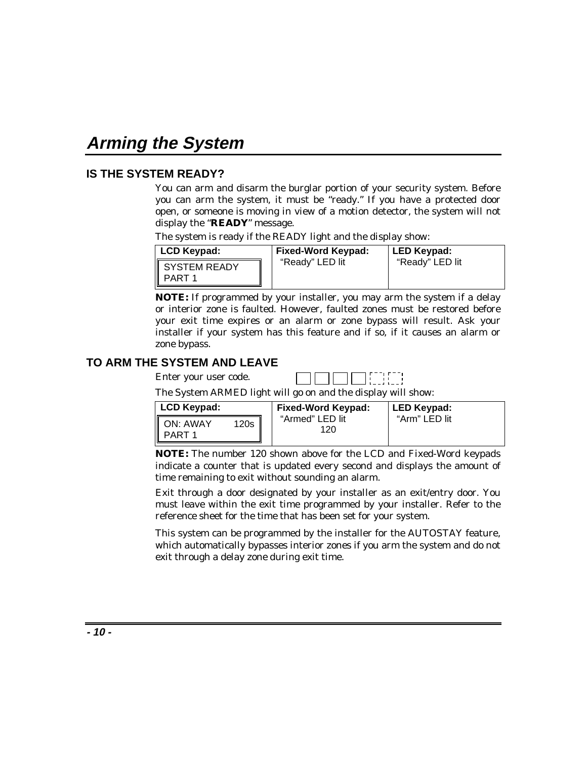# **Arming the System**

### **IS THE SYSTEM READY?**

You can arm and disarm the burglar portion of your security system. Before you can arm the system, it must be "ready." If you have a protected door open, or someone is moving in view of a motion detector, the system will not display the "**READY**" message.

The system is ready if the READY light and the display show:

| LCD Keypad:                              | <b>Fixed-Word Keypad:</b> | LED Keypad:     |
|------------------------------------------|---------------------------|-----------------|
| <b>SYSTEM READY</b><br>PART <sub>1</sub> | "Ready" LED lit           | "Ready" LED lit |

**NOTE:** If programmed by your installer, you may arm the system if a delay or interior zone is faulted. However, faulted zones must be restored before your exit time expires or an alarm or zone bypass will result. Ask your installer if your system has this feature and if so, if it causes an alarm or zone bypass.

### **TO ARM THE SYSTEM AND LEAVE**

Enter your user code.

| <b>Contract</b> |  |  |  |  |  |  |  |
|-----------------|--|--|--|--|--|--|--|
|-----------------|--|--|--|--|--|--|--|

The System ARMED light will go on and the display will show:

| LCD Keypad: |      | <b>Fixed-Word Keypad:</b> | LED Keypad:   |
|-------------|------|---------------------------|---------------|
| ON: AWAY    | 120s | "Armed" LED lit<br>120    | "Arm" LED lit |
|             |      |                           |               |

**NOTE:** The number 120 shown above for the LCD and Fixed-Word keypads indicate a counter that is updated every second and displays the amount of time remaining to exit without sounding an alarm.

Exit through a door designated by your installer as an exit/entry door. You must leave within the exit time programmed by your installer. Refer to the reference sheet for the time that has been set for your system.

This system can be programmed by the installer for the AUTOSTAY feature, which automatically bypasses interior zones if you arm the system and do not exit through a delay zone during exit time.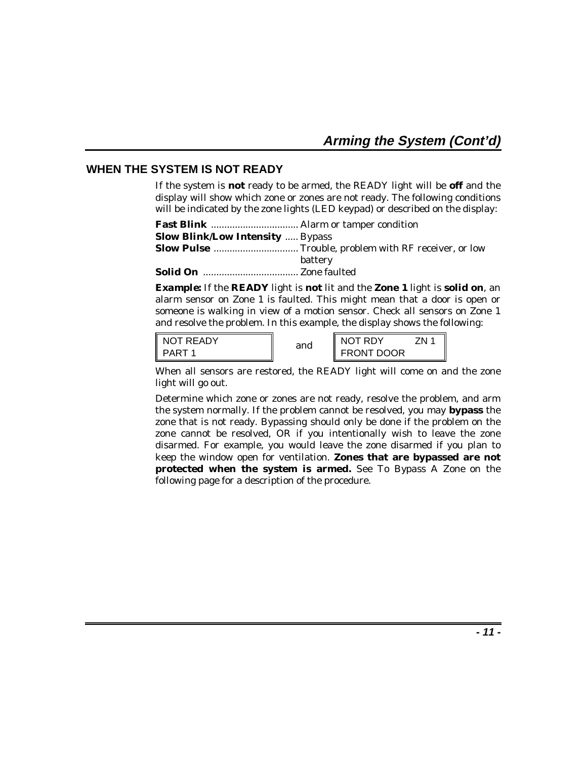### **WHEN THE SYSTEM IS NOT READY**

If the system is **not** ready to be armed, the READY light will be **off** and the display will show which zone or zones are not ready. The following conditions will be indicated by the zone lights (LED keypad) or described on the display:

| <b>Slow Blink/Low Intensity  Bypass</b> |         |
|-----------------------------------------|---------|
|                                         |         |
|                                         | battery |
|                                         |         |
|                                         |         |

*Example:* If the **READY** light is **not** lit and the **Zone 1** light is **solid on**, an alarm sensor on Zone 1 is faulted. This might mean that a door is open or someone is walking in view of a motion sensor. Check all sensors on Zone 1 and resolve the problem. In this example, the display shows the following:

| NOT READY<br>II | and | NOT RDY           | 7N |
|-----------------|-----|-------------------|----|
| I PART          |     | <b>FRONT DOOR</b> |    |

When all sensors are restored, the READY light will come on and the zone light will go out.

Determine which zone or zones are not ready, resolve the problem, and arm the system normally. If the problem cannot be resolved, you may **bypass** the zone that is not ready. Bypassing should only be done if the problem on the zone cannot be resolved, OR if you intentionally wish to leave the zone disarmed. For example, you would leave the zone disarmed if you plan to keep the window open for ventilation. **Zones that are bypassed are not protected when the system is armed.** See *To Bypass A Zone* on the following page for a description of the procedure.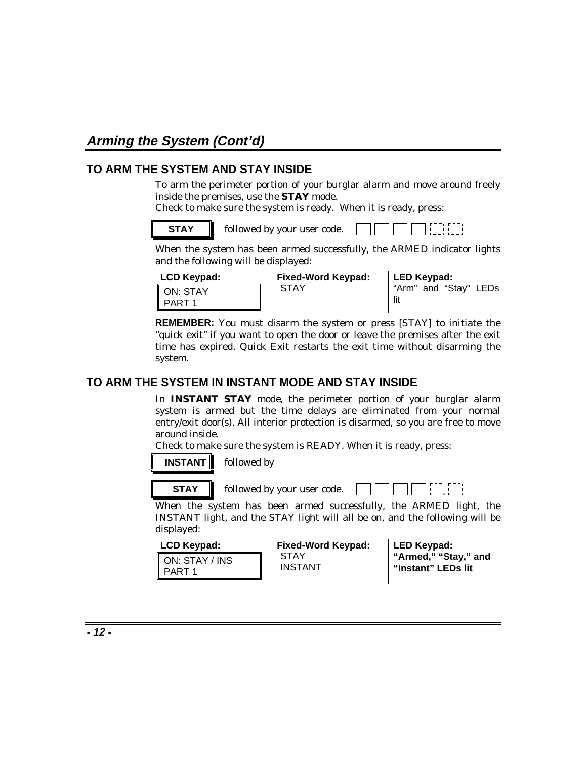# **Arming the System (Cont'd)**

### **TO ARM THE SYSTEM AND STAY INSIDE**

To arm the perimeter portion of your burglar alarm and move around freely inside the premises, use the **STAY** mode.

Check to make sure the system is ready. When it is ready, press:



When the system has been armed successfully, the ARMED indicator lights and the following will be displayed:

| LCD Keypad:        | Fixed-Word Keypad: | LED Keypad:           |
|--------------------|--------------------|-----------------------|
| ON: STAY<br>PART 1 | STAY               | "Arm" and "Stay" LEDs |

**REMEMBER:** You must disarm the system or press [STAY] to initiate the "quick exit" if you want to open the door or leave the premises after the exit time has expired. Quick Exit restarts the exit time without disarming the system.

### **TO ARM THE SYSTEM IN INSTANT MODE AND STAY INSIDE**

In **INSTANT STAY** mode, the perimeter portion of your burglar alarm system is armed but the time delays are eliminated from your normal entry/exit door(s). All interior protection is disarmed, so you are free to move around inside.

Check to make sure the system is READY. When it is ready, press:

## **INSTANT** followed by



**STAY followed by your user code.** 

-11-1

When the system has been armed successfully, the ARMED light, the INSTANT light, and the STAY light will all be on, and the following will be displayed:

| LCD Keypad:              | Fixed-Word Keypad:     | LED Keypad:                                |
|--------------------------|------------------------|--------------------------------------------|
| ON: STAY / INS<br>PART 1 | STAY<br><b>INSTANT</b> | "Armed," "Stay," and<br>"Instant" LEDs lit |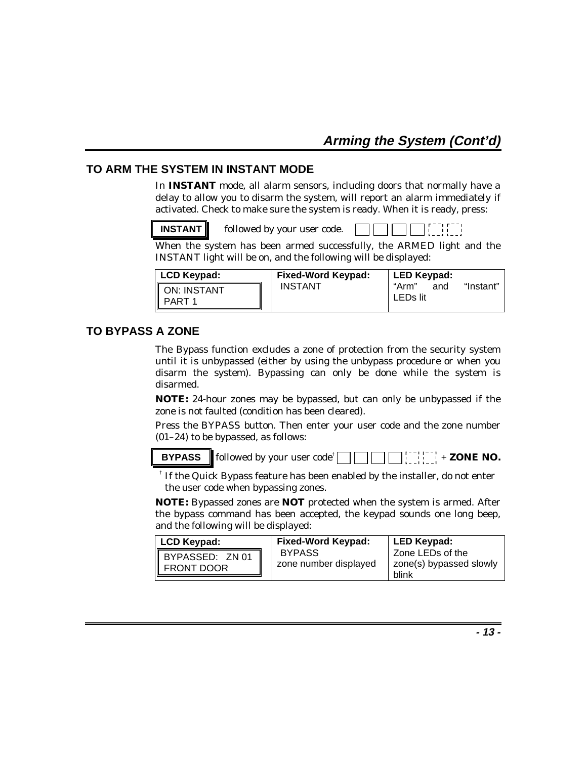### **TO ARM THE SYSTEM IN INSTANT MODE**

In **INSTANT** mode, all alarm sensors, including doors that normally have a delay to allow you to disarm the system, will report an alarm immediately if activated. Check to make sure the system is ready. When it is ready, press:

**INSTANT** followed by your user code.

When the system has been armed successfully, the ARMED light and the INSTANT light will be on, and the following will be displayed:

| <b>LCD Keypad:</b> | <b>Fixed-Word Keypad:</b> | LED Keypad:              |           |
|--------------------|---------------------------|--------------------------|-----------|
| ON: INSTANT        | <b>INSTANT</b>            | "Arm"<br>and<br>LEDs lit | "Instant" |

### **TO BYPASS A ZONE**

The Bypass function excludes a zone of protection from the security system until it is unbypassed (either by using the unbypass procedure or when you disarm the system). Bypassing can only be done while the system is disarmed.

**NOTE:** 24-hour zones may be bypassed, but can only be unbypassed if the zone is not faulted (condition has been cleared).

Press the BYPASS button. Then enter your user code and the zone number (01–24) to be bypassed, as follows:

**BYPASS** followed by your user code<sup>†</sup>  $\left| \begin{array}{c} \cdot \cdot \cdot \cdot \cdot \\ \cdot \cdot \cdot \cdot \cdot \end{array} \right|$  + **ZONE NO.** 

† If the Quick Bypass feature has been enabled by the installer, do not enter the user code when bypassing zones.

**NOTE:** Bypassed zones are **NOT** protected when the system is armed. After the bypass command has been accepted, the keypad sounds one long beep, and the following will be displayed:

| LCD Keypad:     | <b>Fixed-Word Keypad:</b>              | LED Keypad:                                          |
|-----------------|----------------------------------------|------------------------------------------------------|
| BYPASSED: ZN 01 | <b>BYPASS</b><br>zone number displayed | Zone LEDs of the<br>zone(s) bypassed slowly<br>blink |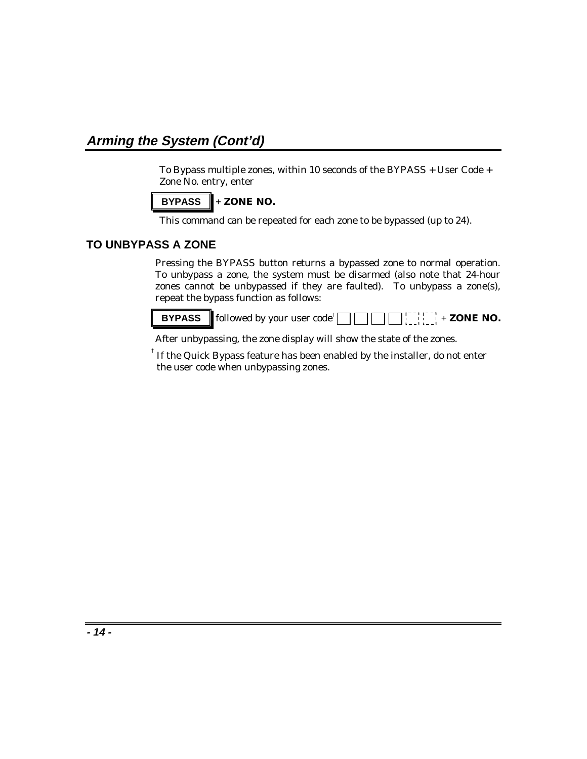# **Arming the System (Cont'd)**

To Bypass multiple zones, within 10 seconds of the BYPASS + User Code + Zone No. entry, enter

$$
\fbox{BYPASS} + \text{ZONE NO}.
$$

This command can be repeated for each zone to be bypassed (up to 24).

## **TO UNBYPASS A ZONE**

Pressing the BYPASS button returns a bypassed zone to normal operation. To unbypass a zone, the system must be disarmed (also note that 24-hour zones cannot be unbypassed if they are faulted). To unbypass a zone(s), repeat the bypass function as follows:

**BYPASS** followed by your user code<sup>†</sup>  $\begin{bmatrix} \cdot & \cdot & \cdot \\ \cdot & \cdot & \cdot \end{bmatrix}$  + **ZONE NO.**  $\Box$ 

After unbypassing, the zone display will show the state of the zones.

 $^\dagger$  If the Quick Bypass feature has been enabled by the installer, do not enter the user code when unbypassing zones.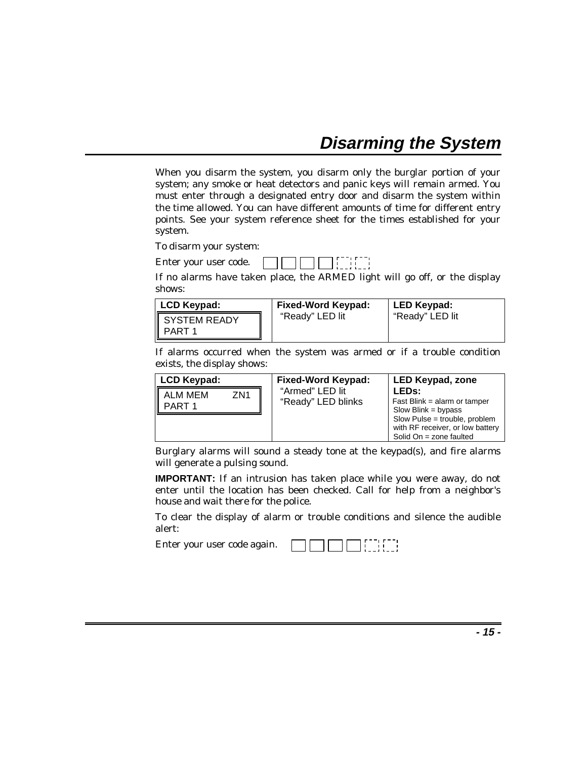# **Disarming the System**

When you disarm the system, you disarm only the burglar portion of your system; any smoke or heat detectors and panic keys will remain armed. You must enter through a designated entry door and disarm the system within the time allowed. You can have different amounts of time for different entry points. See your system reference sheet for the times established for your system.

To disarm your system:

Enter your user code. 

If no alarms have taken place, the ARMED light will go off, or the display shows:

| LCD Keypad:  | <b>Fixed-Word Keypad:</b> | LED Keypad:     |
|--------------|---------------------------|-----------------|
| SYSTEM READY | "Ready" LED lit           | "Ready" LED lit |

If alarms occurred when the system was armed or if a trouble condition exists, the display shows:

| LCD Keypad:                          | <b>Fixed-Word Keypad:</b>             | <b>LED Keypad, zone</b>                                                                                                                                                    |
|--------------------------------------|---------------------------------------|----------------------------------------------------------------------------------------------------------------------------------------------------------------------------|
| ALM MEM<br>PART 1<br>ZN <sub>1</sub> | "Armed" LED lit<br>"Ready" LED blinks | LED <sub>s:</sub><br>Fast Blink = alarm or tamper<br>Slow Blink = bypass<br>Slow Pulse = trouble, problem<br>with RF receiver, or low battery<br>Solid $On = zone$ faulted |

Burglary alarms will sound a steady tone at the keypad(s), and fire alarms will generate a pulsing sound.

**IMPORTANT:** If an intrusion has taken place while you were away, do not enter until the location has been checked. Call for help from a neighbor's house and wait there for the police.

To clear the display of alarm or trouble conditions and silence the audible alert:

Enter your user code again.

|  |  | ------ |
|--|--|--------|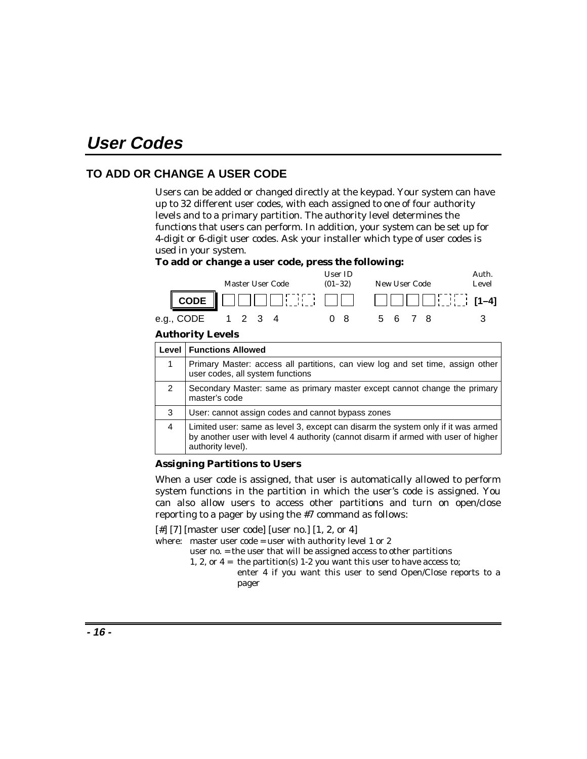# **User Codes**

### **TO ADD OR CHANGE A USER CODE**

Users can be added or changed directly at the keypad. Your system can have up to 32 different user codes, with each assigned to one of four authority levels and to a primary partition. The authority level determines the functions that users can perform. In addition, your system can be set up for 4-digit or 6-digit user codes. Ask your installer which type of user codes is used in your system.

#### **To add or change a user code, press the following:**



#### **Authority Levels**

|   | <b>Level   Functions Allowed</b>                                                                                                                                                            |
|---|---------------------------------------------------------------------------------------------------------------------------------------------------------------------------------------------|
| 1 | Primary Master: access all partitions, can view log and set time, assign other<br>user codes, all system functions                                                                          |
| 2 | Secondary Master: same as primary master except cannot change the primary<br>master's code                                                                                                  |
| 3 | User: cannot assign codes and cannot bypass zones                                                                                                                                           |
| 4 | Limited user: same as level 3, except can disarm the system only if it was armed<br>by another user with level 4 authority (cannot disarm if armed with user of higher<br>authority level). |

#### **Assigning Partitions to Users**

When a user code is assigned, that user is automatically allowed to perform system functions in the partition in which the user's code is assigned. You can also allow users to access other partitions and turn on open/close reporting to a pager by using the #7 command as follows:

[#] [7] [master user code] [user no.] [1, 2, or 4]

where: master user code = user with authority level 1 or 2

- user no. = the user that will be assigned access to other partitions
- 1, 2, or  $4 =$  the partition(s) 1-2 you want this user to have access to;
	- enter 4 if you want this user to send Open/Close reports to a pager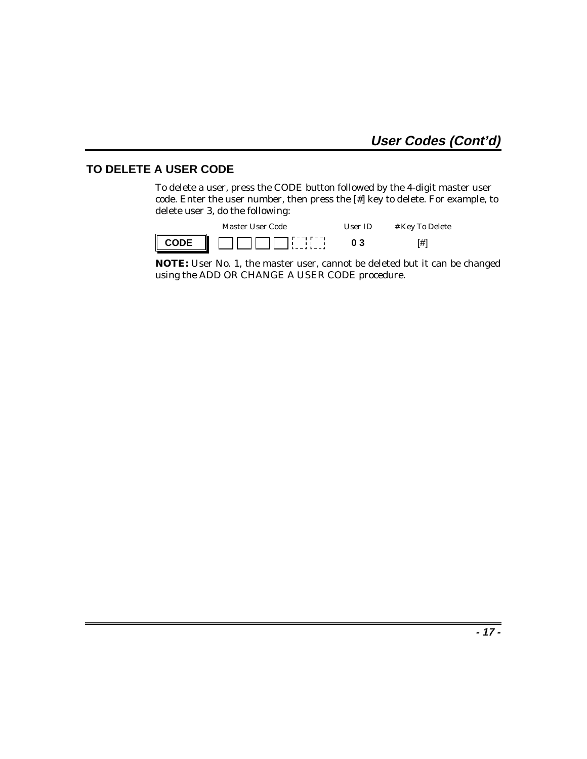#### **TO DELETE A USER CODE**

To delete a user, press the CODE button followed by the 4-digit master user code. Enter the user number, then press the [#] key to delete. For example, to delete user 3, do the following:

|                  | Master User Code | Hser ID | # Key To Delete |
|------------------|------------------|---------|-----------------|
| $\parallel$ CODE |                  | 03      | 「#1             |

**NOTE:** User No. 1, the master user, cannot be deleted but it can be changed using the ADD OR CHANGE A USER CODE procedure.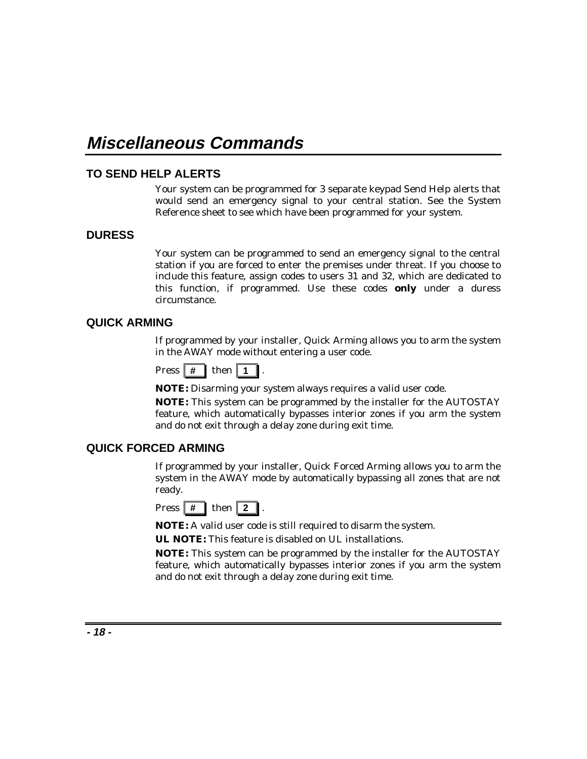# **Miscellaneous Commands**

#### **TO SEND HELP ALERTS**

Your system can be programmed for 3 separate keypad Send Help alerts that would send an emergency signal to your central station. See the System Reference sheet to see which have been programmed for your system.

#### **DURESS**

Your system can be programmed to send an emergency signal to the central station if you are forced to enter the premises under threat. If you choose to include this feature, assign codes to users 31 and 32, which are dedicated to this function, if programmed. Use these codes **only** under a duress circumstance.

#### **QUICK ARMING**

If programmed by your installer, Quick Arming allows you to arm the system in the AWAY mode without entering a user code.

| Press | I | then |  |  |
|-------|---|------|--|--|
|-------|---|------|--|--|

**NOTE:** Disarming your system always requires a valid user code.

**NOTE:** This system can be programmed by the installer for the AUTOSTAY feature, which automatically bypasses interior zones if you arm the system and do not exit through a delay zone during exit time.

#### **QUICK FORCED ARMING**

If programmed by your installer, Quick Forced Arming allows you to arm the system in the AWAY mode by automatically bypassing all zones that are not ready.

| <b>Press</b> |  | then |  |  |
|--------------|--|------|--|--|
|--------------|--|------|--|--|

**NOTE:** A valid user code is still required to disarm the system.

**UL NOTE:** This feature is disabled on UL installations.

**NOTE:** This system can be programmed by the installer for the AUTOSTAY feature, which automatically bypasses interior zones if you arm the system and do not exit through a delay zone during exit time.

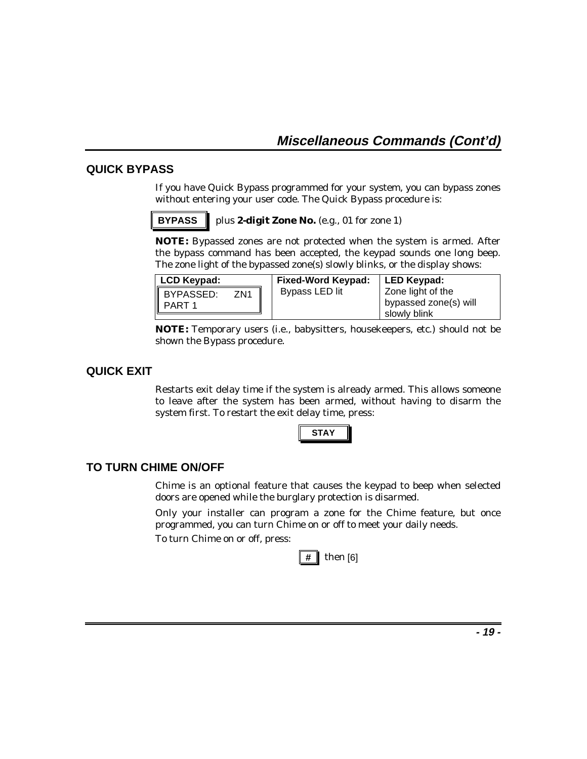#### **QUICK BYPASS**

If you have Quick Bypass programmed for your system, you can bypass zones without entering your user code. The Quick Bypass procedure is:

**BYPASS p**lus 2-digit Zone No. (e.g., 01 for zone 1)

**NOTE:** Bypassed zones are not protected when the system is armed. After the bypass command has been accepted, the keypad sounds one long beep. The zone light of the bypassed zone(s) slowly blinks, or the display shows:

| LCD Keypad:                            | <b>Fixed-Word Keypad:</b> | LED Keypad:                                                |
|----------------------------------------|---------------------------|------------------------------------------------------------|
| BYPASSED:<br>PART 1<br>ZN <sub>1</sub> | Bypass LED lit            | Zone light of the<br>bypassed zone(s) will<br>slowly blink |

**NOTE:** Temporary users (i.e., babysitters, housekeepers, etc.) should not be shown the Bypass procedure.

#### **QUICK EXIT**

Restarts exit delay time if the system is already armed. This allows someone to leave after the system has been armed, without having to disarm the system first. To restart the exit delay time, press:



#### **TO TURN CHIME ON/OFF**

Chime is an optional feature that causes the keypad to beep when selected doors are opened while the burglary protection is disarmed.

Only your installer can program a zone for the Chime feature, but once programmed, you can turn Chime on or off to meet your daily needs.

To turn Chime on or off, press:

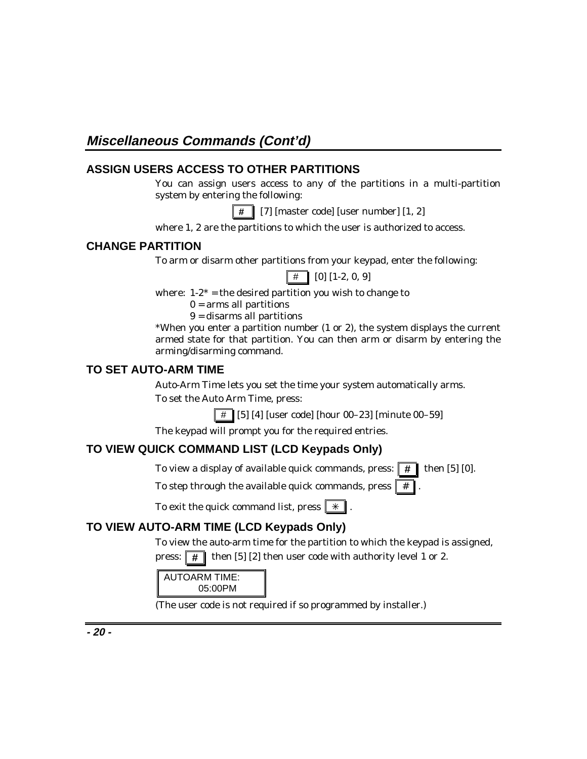## **ASSIGN USERS ACCESS TO OTHER PARTITIONS**

You can assign users access to any of the partitions in a multi-partition system by entering the following:

 **#** [7] [master code] [user number] [1, 2]

where 1, 2 are the partitions to which the user is authorized to access.

### **CHANGE PARTITION**

To arm or disarm other partitions from your keypad, enter the following:

 $\boxed{\#}$  [0] [1-2, 0, 9]

where:  $1-2^*$  = the desired partition you wish to change to

 $0 =$ arms all partitions

9 = disarms all partitions

\*When you enter a partition number (1 or 2), the system displays the current armed state for that partition. You can then arm or disarm by entering the arming/disarming command.

### **TO SET AUTO-ARM TIME**

Auto-Arm Time lets you set the time your system automatically arms. To set the Auto Arm Time, press:

 $\parallel \# \parallel [5]$  [4] [user code] [hour 00–23] [minute 00–59]

The keypad will prompt you for the required entries.

### **TO VIEW QUICK COMMAND LIST (LCD Keypads Only)**

To view a display of available quick commands, press:  $\mathbf{H}$  then [5] [0].

To step through the available quick commands, press  $\parallel$ 

To exit the quick command list, press  $\|\ast\|$ .

## **TO VIEW AUTO-ARM TIME (LCD Keypads Only)**

To view the auto-arm time for the partition to which the keypad is assigned, press:  $\boxed{\#}$  then [5] [2] then user code with authority level 1 or 2.

AUTOARM TIME: 05:00PM

(The user code is not required if so programmed by installer.)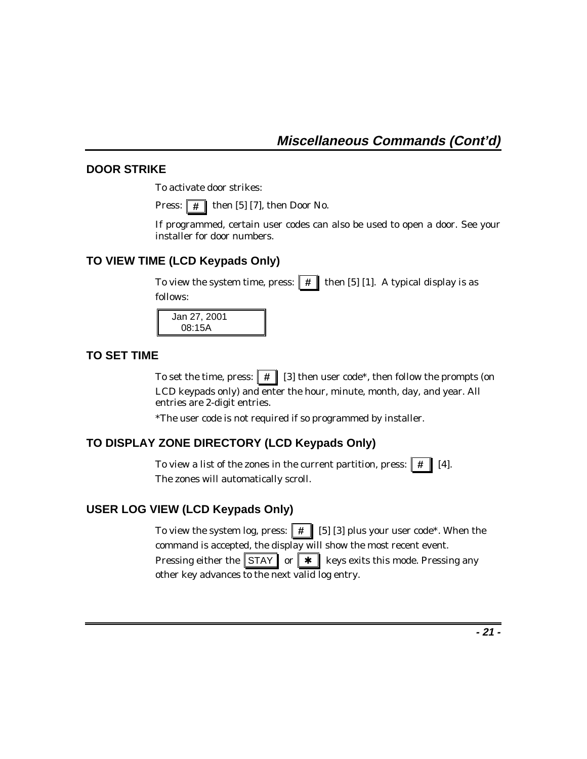### **DOOR STRIKE**

To activate door strikes:

Press:  $\boxed{\#}$  then [5] [7], then Door No.

If programmed, certain user codes can also be used to open a door. See your installer for door numbers.

### **TO VIEW TIME (LCD Keypads Only)**

To view the system time, press:  $\parallel \# \parallel$  then [5] [1]. A typical display is as follows:

 Jan 27, 2001 08:15A

### **TO SET TIME**

To set the time, press:  $\parallel \# \parallel [3]$  then user code<sup>\*</sup>, then follow the prompts (on LCD keypads only) and enter the hour, minute, month, day, and year. All entries are 2-digit entries.

\*The user code is not required if so programmed by installer.

### **TO DISPLAY ZONE DIRECTORY (LCD Keypads Only)**

To view a list of the zones in the current partition, press:  $\|\vec{\boldsymbol{H}}\|$  [4]. The zones will automatically scroll.

#### **USER LOG VIEW (LCD Keypads Only)**

To view the system log, press:  $\parallel \# \parallel$  [5] [3] plus your user code<sup>\*</sup>. When the command is accepted, the display will show the most recent event. Pressing either the  $\|\text{STAY}\|$  or  $\|\star\|$  keys exits this mode. Pressing any other key advances to the next valid log entry.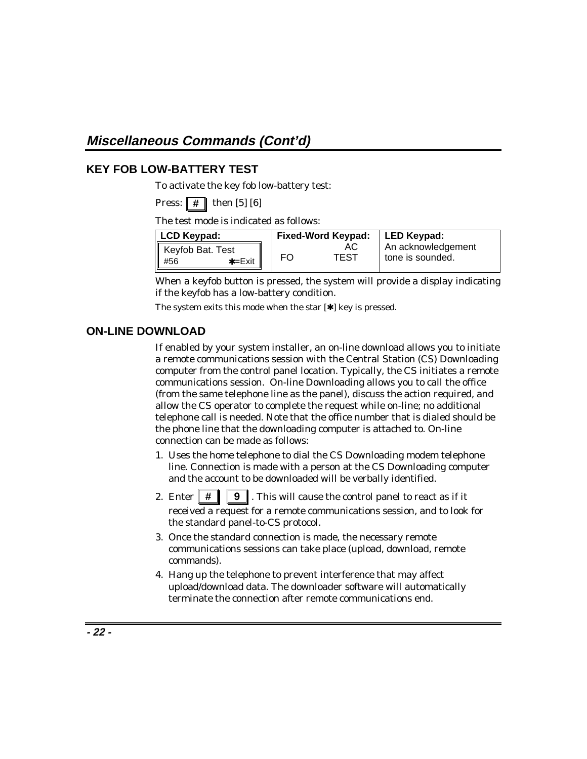# **Miscellaneous Commands (Cont'd)**

#### **KEY FOB LOW-BATTERY TEST**

To activate the key fob low-battery test:

**Press:**  $\#$  then [5] [6]

The test mode is indicated as follows:

| LCD Keypad:                        | <b>Fixed-Word Keypad:</b> |                    | LED Keypad:      |
|------------------------------------|---------------------------|--------------------|------------------|
| Keyfob Bat. Test                   | АC                        | An acknowledgement |                  |
| $\parallel$ #56<br>$\star = E$ xit | FO                        | TEST               | tone is sounded. |

When a keyfob button is pressed, the system will provide a display indicating if the keyfob has a low-battery condition.

The system exits this mode when the star  $[∗]$  key is pressed.

### **ON-LINE DOWNLOAD**

If enabled by your system installer, an on-line download allows you to initiate a remote communications session with the Central Station (CS) Downloading computer from the control panel location. Typically, the CS initiates a remote communications session. On-line Downloading allows you to call the office (from the same telephone line as the panel), discuss the action required, and allow the CS operator to complete the request while on-line; no additional telephone call is needed. Note that the office number that is dialed should be the phone line that the downloading computer is attached to. On-line connection can be made as follows:

- 1. Uses the home telephone to dial the CS Downloading modem telephone line. Connection is made with a person at the CS Downloading computer and the account to be downloaded will be verbally identified.
- 2. Enter  $\|\# \|\$  **9** . This will cause the control panel to react as if it received a request for a remote communications session, and to look for the standard panel-to-CS protocol.
- 3. Once the standard connection is made, the necessary remote communications sessions can take place (upload, download, remote commands).
- 4. Hang up the telephone to prevent interference that may affect upload/download data. The downloader software will automatically terminate the connection after remote communications end.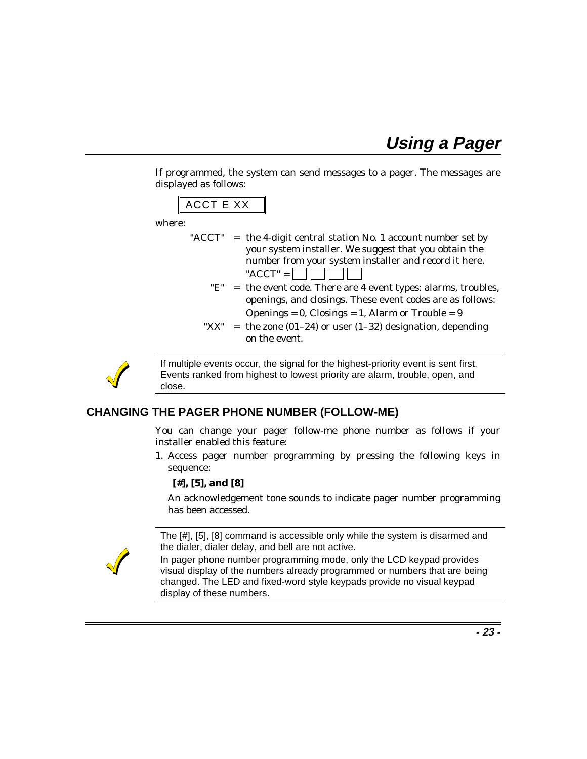**Using a Pager**

If programmed, the system can send messages to a pager. The messages are displayed as follows:



where:

- "ACCT" = the 4-digit central station No. 1 account number set by your system installer. We suggest that you obtain the number from your system installer and record it here. " $ACCT" =$ 
	- " $E$ " = the event code. There are 4 event types: alarms, troubles, openings, and closings. These event codes are as follows: Openings =  $0$ , Closings =  $1$ , Alarm or Trouble =  $9$
	- " $XX$ " = the zone (01–24) or user (1–32) designation, depending on the event.



If multiple events occur, the signal for the highest-priority event is sent first. Events ranked from highest to lowest priority are alarm, trouble, open, and close.

#### **CHANGING THE PAGER PHONE NUMBER (FOLLOW-ME)**

You can change your pager follow-me phone number as follows if your installer enabled this feature:

1. Access pager number programming by pressing the following keys in sequence:

#### **[#], [5], and [8]**

An acknowledgement tone sounds to indicate pager number programming has been accessed.

The [#], [5], [8] command is accessible only while the system is disarmed and the dialer, dialer delay, and bell are not active.

In pager phone number programming mode, only the LCD keypad provides visual display of the numbers already programmed or numbers that are being changed. The LED and fixed-word style keypads provide no visual keypad display of these numbers.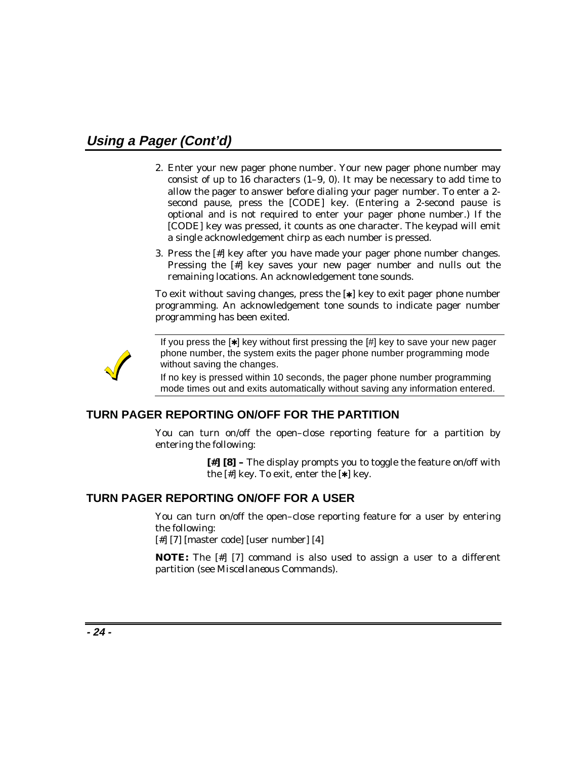# **Using a Pager (Cont'd)**

- 2. Enter your new pager phone number. Your new pager phone number may consist of up to 16 characters  $(1-9, 0)$ . It may be necessary to add time to allow the pager to answer before dialing your pager number. To enter a 2 second pause, press the [CODE] key. (Entering a 2-second pause is optional and is not required to enter your pager phone number.) If the [CODE] key was pressed, it counts as one character. The keypad will emit a single acknowledgement chirp as each number is pressed.
- 3. Press the [#] key after you have made your pager phone number changes. Pressing the [#] key saves your new pager number and nulls out the remaining locations. An acknowledgement tone sounds.

To exit without saving changes, press the [✱] key to exit pager phone number programming. An acknowledgement tone sounds to indicate pager number programming has been exited.



If you press the [✱] key without first pressing the [#] key to save your new pager phone number, the system exits the pager phone number programming mode without saving the changes.

If no key is pressed within 10 seconds, the pager phone number programming mode times out and exits automatically without saving any information entered.

#### **TURN PAGER REPORTING ON/OFF FOR THE PARTITION**

You can turn on/off the open–close reporting feature for a partition by entering the following:

> **[#] [8] –** The display prompts you to toggle the feature on/off with the  $[$ # $]$  key. To exit, enter the  $[$ \* $]$  key.

#### **TURN PAGER REPORTING ON/OFF FOR A USER**

You can turn on/off the open–close reporting feature for a user by entering the following:

[#] [7] [master code] [user number] [4]

**NOTE:** The [#] [7] command is also used to assign a user to a different partition (see *Miscellaneous Commands*).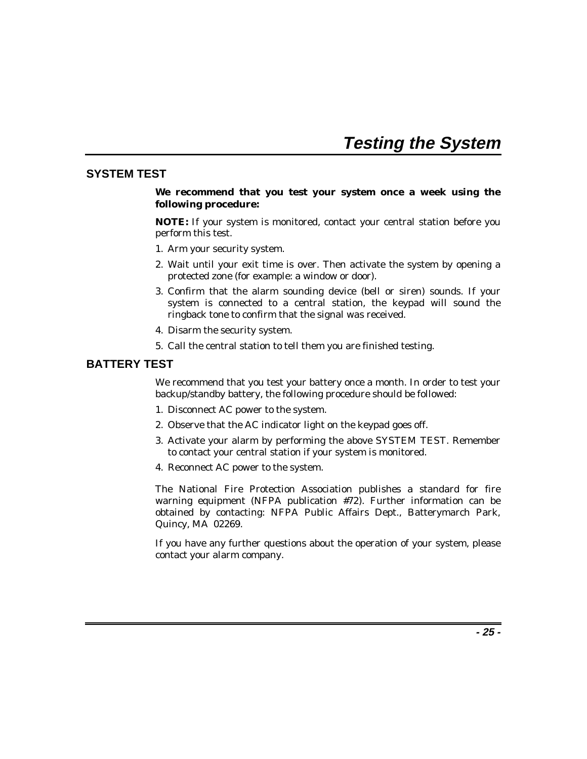# **Testing the System**

#### **SYSTEM TEST**

#### **We recommend that you test your system once a week using the following procedure:**

**NOTE:** If your system is monitored, contact your central station before you perform this test.

- 1. Arm your security system.
- 2. Wait until your exit time is over. Then activate the system by opening a protected zone (for example: a window or door).
- 3. Confirm that the alarm sounding device (bell or siren) sounds. If your system is connected to a central station, the keypad will sound the ringback tone to confirm that the signal was received.
- 4. Disarm the security system.
- 5. Call the central station to tell them you are finished testing.

#### **BATTERY TEST**

We recommend that you test your battery once a month. In order to test your backup/standby battery, the following procedure should be followed:

- 1. Disconnect AC power to the system.
- 2. Observe that the AC indicator light on the keypad goes off.
- 3. Activate your alarm by performing the above SYSTEM TEST. Remember to contact your central station if your system is monitored.
- 4. Reconnect AC power to the system.

The National Fire Protection Association publishes a standard for fire warning equipment (NFPA publication #72). Further information can be obtained by contacting: NFPA Public Affairs Dept., Batterymarch Park, Quincy, MA 02269.

If you have any further questions about the operation of your system, please contact your alarm company.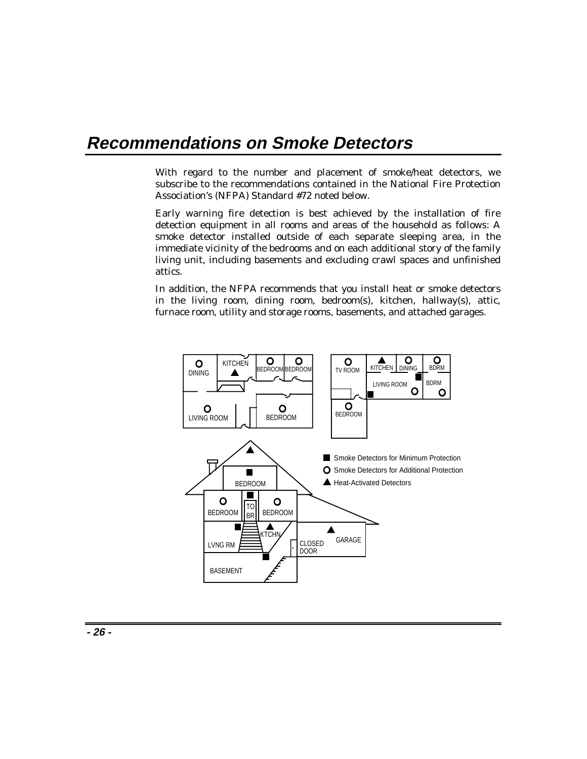# **Recommendations on Smoke Detectors**

With regard to the number and placement of smoke/heat detectors, we subscribe to the recommendations contained in the National Fire Protection Association's (NFPA) Standard #72 noted below.

Early warning fire detection is best achieved by the installation of fire detection equipment in all rooms and areas of the household as follows: A smoke detector installed outside of each separate sleeping area, in the immediate vicinity of the bedrooms and on each additional story of the family living unit, including basements and excluding crawl spaces and unfinished attics.

In addition, the NFPA recommends that you install heat or smoke detectors in the living room, dining room, bedroom(s), kitchen, hallway(s), attic, furnace room, utility and storage rooms, basements, and attached garages.

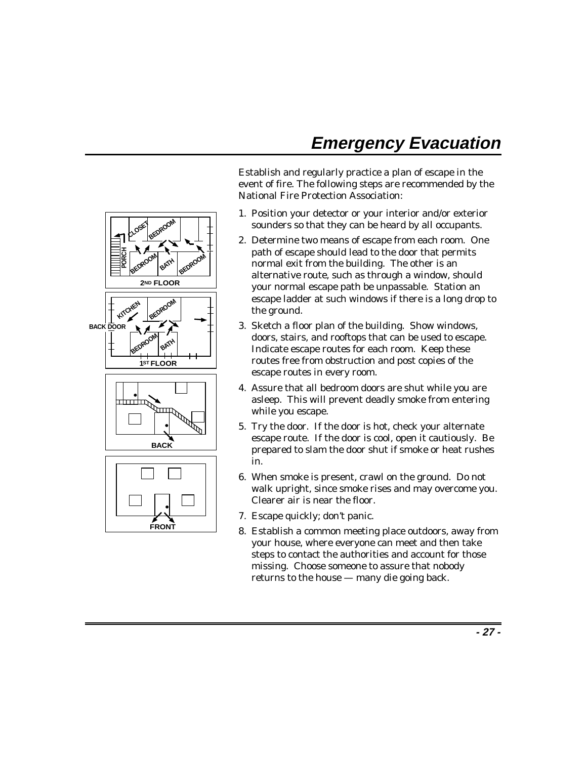# **Emergency Evacuation**

Establish and regularly practice a plan of escape in the event of fire. The following steps are recommended by the National Fire Protection Association:

- 1. Position your detector or your interior and/or exterior sounders so that they can be heard by all occupants.
- 2. Determine two means of escape from each room. One path of escape should lead to the door that permits normal exit from the building. The other is an alternative route, such as through a window, should your normal escape path be unpassable. Station an escape ladder at such windows if there is a long drop to the ground.
- 3. Sketch a floor plan of the building. Show windows, doors, stairs, and rooftops that can be used to escape. Indicate escape routes for each room. Keep these routes free from obstruction and post copies of the escape routes in every room.
- 4. Assure that all bedroom doors are shut while you are asleep. This will prevent deadly smoke from entering while you escape.
- 5. Try the door. If the door is hot, check your alternate escape route. If the door is cool, open it cautiously. Be prepared to slam the door shut if smoke or heat rushes in.
- 6. When smoke is present, crawl on the ground. Do not walk upright, since smoke rises and may overcome you. Clearer air is near the floor.
- 7. Escape quickly; don't panic.
- 8. Establish a common meeting place outdoors, away from your house, where everyone can meet and then take steps to contact the authorities and account for those missing. Choose someone to assure that nobody returns to the house — many die going back.

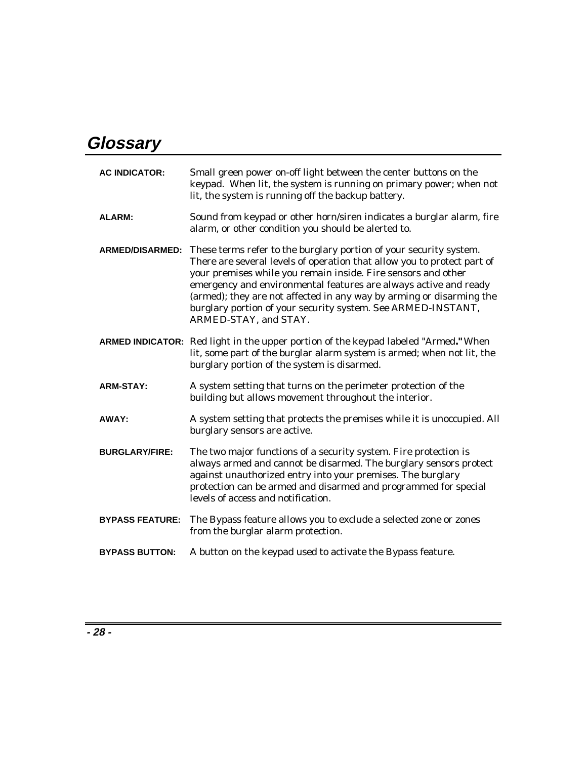# **Glossary**

| <b>AC INDICATOR:</b>   | Small green power on-off light between the center buttons on the<br>keypad. When lit, the system is running on primary power; when not<br>lit, the system is running off the backup battery.                                                                                                                                                                                                                                                        |
|------------------------|-----------------------------------------------------------------------------------------------------------------------------------------------------------------------------------------------------------------------------------------------------------------------------------------------------------------------------------------------------------------------------------------------------------------------------------------------------|
| <b>ALARM:</b>          | Sound from keypad or other horn/siren indicates a burglar alarm, fire<br>alarm, or other condition you should be alerted to.                                                                                                                                                                                                                                                                                                                        |
| <b>ARMED/DISARMED:</b> | These terms refer to the burglary portion of your security system.<br>There are several levels of operation that allow you to protect part of<br>your premises while you remain inside. Fire sensors and other<br>emergency and environmental features are always active and ready<br>(armed); they are not affected in any way by arming or disarming the<br>burglary portion of your security system. See ARMED-INSTANT,<br>ARMED-STAY, and STAY. |
|                        | ARMED INDICATOR: Red light in the upper portion of the keypad labeled "Armed." When<br>lit, some part of the burglar alarm system is armed; when not lit, the<br>burglary portion of the system is disarmed.                                                                                                                                                                                                                                        |
| <b>ARM-STAY:</b>       | A system setting that turns on the perimeter protection of the<br>building but allows movement throughout the interior.                                                                                                                                                                                                                                                                                                                             |
| AWAY:                  | A system setting that protects the premises while it is unoccupied. All<br>burglary sensors are active.                                                                                                                                                                                                                                                                                                                                             |
| <b>BURGLARY/FIRE:</b>  | The two major functions of a security system. Fire protection is<br>always armed and cannot be disarmed. The burglary sensors protect<br>against unauthorized entry into your premises. The burglary<br>protection can be armed and disarmed and programmed for special<br>levels of access and notification.                                                                                                                                       |
| <b>BYPASS FEATURE:</b> | The Bypass feature allows you to exclude a selected zone or zones<br>from the burglar alarm protection.                                                                                                                                                                                                                                                                                                                                             |
| <b>BYPASS BUTTON:</b>  | A button on the keypad used to activate the Bypass feature.                                                                                                                                                                                                                                                                                                                                                                                         |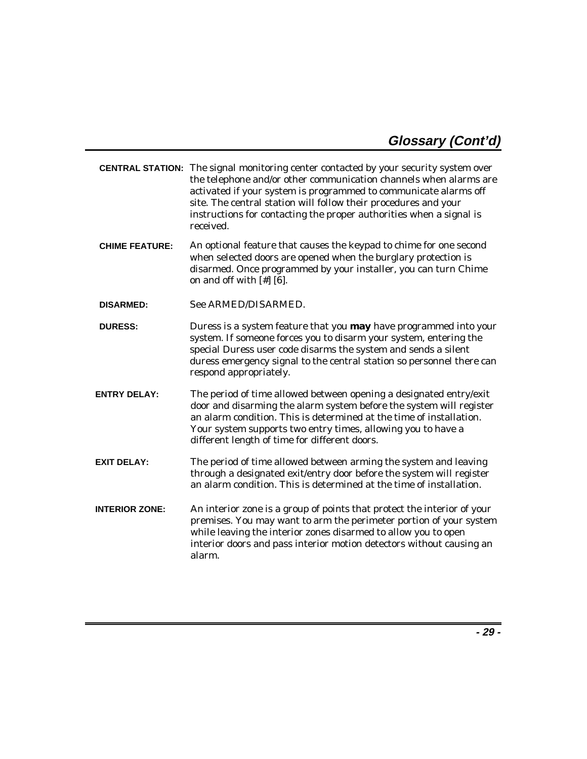|                       | <b>CENTRAL STATION:</b> The signal monitoring center contacted by your security system over<br>the telephone and/or other communication channels when alarms are<br>activated if your system is programmed to communicate alarms off<br>site. The central station will follow their procedures and your<br>instructions for contacting the proper authorities when a signal is<br>received. |
|-----------------------|---------------------------------------------------------------------------------------------------------------------------------------------------------------------------------------------------------------------------------------------------------------------------------------------------------------------------------------------------------------------------------------------|
| <b>CHIME FEATURE:</b> | An optional feature that causes the keypad to chime for one second<br>when selected doors are opened when the burglary protection is<br>disarmed. Once programmed by your installer, you can turn Chime<br>on and off with $[#]$ [6].                                                                                                                                                       |
| <b>DISARMED:</b>      | See ARMED/DISARMED.                                                                                                                                                                                                                                                                                                                                                                         |
| <b>DURESS:</b>        | Duress is a system feature that you may have programmed into your<br>system. If someone forces you to disarm your system, entering the<br>special Duress user code disarms the system and sends a silent<br>duress emergency signal to the central station so personnel there can<br>respond appropriately.                                                                                 |
| <b>ENTRY DELAY:</b>   | The period of time allowed between opening a designated entry/exit<br>door and disarming the alarm system before the system will register<br>an alarm condition. This is determined at the time of installation.<br>Your system supports two entry times, allowing you to have a<br>different length of time for different doors.                                                           |
| <b>EXIT DELAY:</b>    | The period of time allowed between arming the system and leaving<br>through a designated exit/entry door before the system will register<br>an alarm condition. This is determined at the time of installation.                                                                                                                                                                             |
| <b>INTERIOR ZONE:</b> | An interior zone is a group of points that protect the interior of your<br>premises. You may want to arm the perimeter portion of your system<br>while leaving the interior zones disarmed to allow you to open<br>interior doors and pass interior motion detectors without causing an<br>alarm.                                                                                           |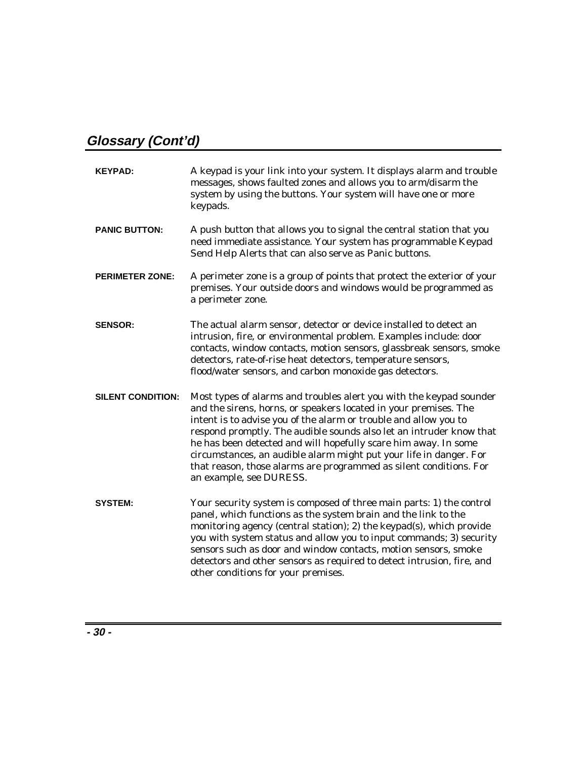# **Glossary (Cont'd)**

| <b>KEYPAD:</b>           | A keypad is your link into your system. It displays alarm and trouble<br>messages, shows faulted zones and allows you to arm/disarm the<br>system by using the buttons. Your system will have one or more<br>keypads.                                                                                                                                                                                                                                                                                                        |
|--------------------------|------------------------------------------------------------------------------------------------------------------------------------------------------------------------------------------------------------------------------------------------------------------------------------------------------------------------------------------------------------------------------------------------------------------------------------------------------------------------------------------------------------------------------|
| <b>PANIC BUTTON:</b>     | A push button that allows you to signal the central station that you<br>need immediate assistance. Your system has programmable Keypad<br>Send Help Alerts that can also serve as Panic buttons.                                                                                                                                                                                                                                                                                                                             |
| <b>PERIMETER ZONE:</b>   | A perimeter zone is a group of points that protect the exterior of your<br>premises. Your outside doors and windows would be programmed as<br>a perimeter zone.                                                                                                                                                                                                                                                                                                                                                              |
| <b>SENSOR:</b>           | The actual alarm sensor, detector or device installed to detect an<br>intrusion, fire, or environmental problem. Examples include: door<br>contacts, window contacts, motion sensors, glassbreak sensors, smoke<br>detectors, rate-of-rise heat detectors, temperature sensors,<br>flood/water sensors, and carbon monoxide gas detectors.                                                                                                                                                                                   |
| <b>SILENT CONDITION:</b> | Most types of alarms and troubles alert you with the keypad sounder<br>and the sirens, horns, or speakers located in your premises. The<br>intent is to advise you of the alarm or trouble and allow you to<br>respond promptly. The audible sounds also let an intruder know that<br>he has been detected and will hopefully scare him away. In some<br>circumstances, an audible alarm might put your life in danger. For<br>that reason, those alarms are programmed as silent conditions. For<br>an example, see DURESS. |
| <b>SYSTEM:</b>           | Your security system is composed of three main parts: 1) the control<br>panel, which functions as the system brain and the link to the<br>monitoring agency (central station); 2) the keypad(s), which provide<br>you with system status and allow you to input commands; 3) security<br>sensors such as door and window contacts, motion sensors, smoke<br>detectors and other sensors as required to detect intrusion, fire, and<br>other conditions for your premises.                                                    |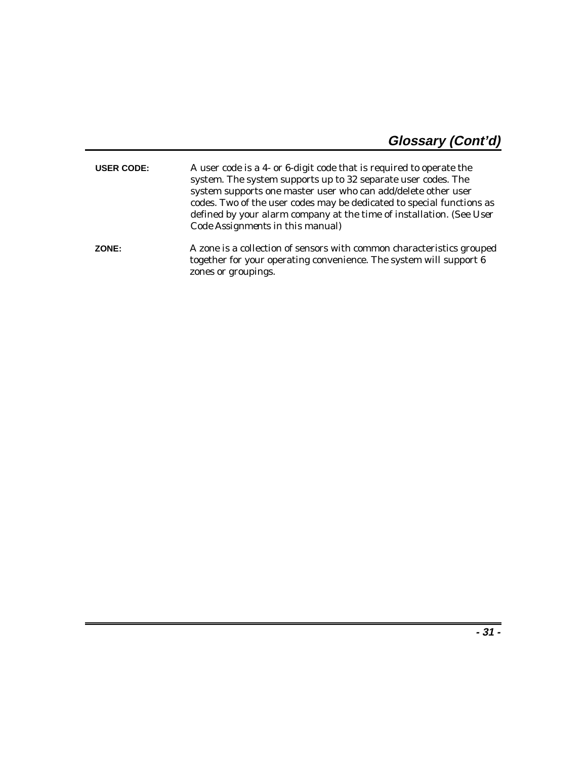| <b>USER CODE:</b> | A user code is a 4- or 6-digit code that is required to operate the<br>system. The system supports up to 32 separate user codes. The<br>system supports one master user who can add/delete other user<br>codes. Two of the user codes may be dedicated to special functions as<br>defined by your alarm company at the time of installation. (See User<br>Code Assignments in this manual) |
|-------------------|--------------------------------------------------------------------------------------------------------------------------------------------------------------------------------------------------------------------------------------------------------------------------------------------------------------------------------------------------------------------------------------------|
| ZONE:             | A zone is a collection of sensors with common characteristics grouped<br>together for your operating convenience. The system will support 6                                                                                                                                                                                                                                                |

zones or groupings.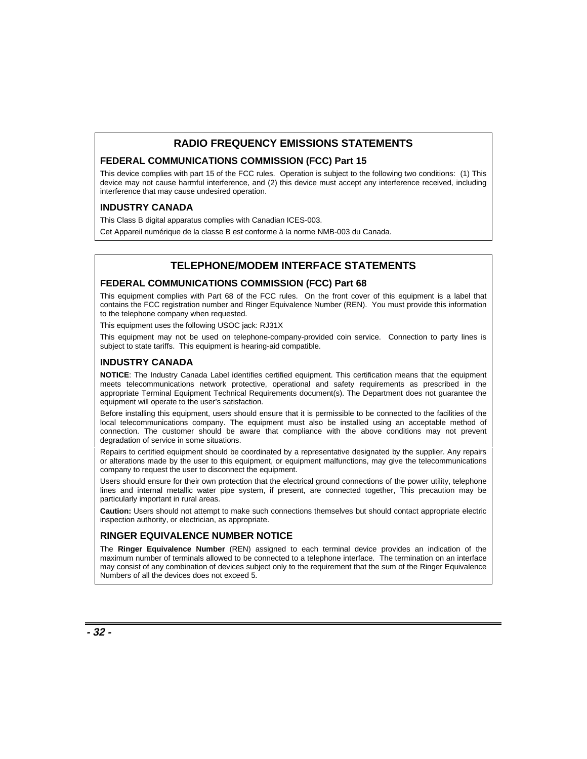#### **RADIO FREQUENCY EMISSIONS STATEMENTS**

#### **FEDERAL COMMUNICATIONS COMMISSION (FCC) Part 15**

This device complies with part 15 of the FCC rules. Operation is subject to the following two conditions: (1) This device may not cause harmful interference, and (2) this device must accept any interference received, including interference that may cause undesired operation.

#### **INDUSTRY CANADA**

This Class B digital apparatus complies with Canadian ICES-003.

Cet Appareil numérique de la classe B est conforme à la norme NMB-003 du Canada.

#### **TELEPHONE/MODEM INTERFACE STATEMENTS**

#### **FEDERAL COMMUNICATIONS COMMISSION (FCC) Part 68**

This equipment complies with Part 68 of the FCC rules. On the front cover of this equipment is a label that contains the FCC registration number and Ringer Equivalence Number (REN). You must provide this information to the telephone company when requested.

This equipment uses the following USOC jack: RJ31X

This equipment may not be used on telephone-company-provided coin service. Connection to party lines is subject to state tariffs. This equipment is hearing-aid compatible.

#### **INDUSTRY CANADA**

**NOTICE**: The Industry Canada Label identifies certified equipment. This certification means that the equipment meets telecommunications network protective, operational and safety requirements as prescribed in the appropriate Terminal Equipment Technical Requirements document(s). The Department does not guarantee the equipment will operate to the user's satisfaction.

Before installing this equipment, users should ensure that it is permissible to be connected to the facilities of the local telecommunications company. The equipment must also be installed using an acceptable method of connection. The customer should be aware that compliance with the above conditions may not prevent degradation of service in some situations.

Repairs to certified equipment should be coordinated by a representative designated by the supplier. Any repairs or alterations made by the user to this equipment, or equipment malfunctions, may give the telecommunications company to request the user to disconnect the equipment.

Users should ensure for their own protection that the electrical ground connections of the power utility, telephone lines and internal metallic water pipe system, if present, are connected together, This precaution may be particularly important in rural areas.

**Caution:** Users should not attempt to make such connections themselves but should contact appropriate electric inspection authority, or electrician, as appropriate.

#### **RINGER EQUIVALENCE NUMBER NOTICE**

The **Ringer Equivalence Number** (REN) assigned to each terminal device provides an indication of the maximum number of terminals allowed to be connected to a telephone interface. The termination on an interface may consist of any combination of devices subject only to the requirement that the sum of the Ringer Equivalence Numbers of all the devices does not exceed 5.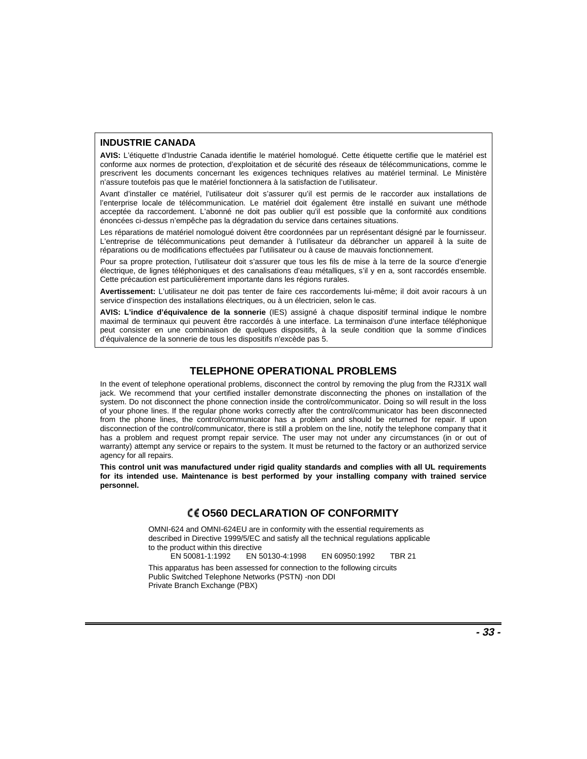#### **INDUSTRIE CANADA**

**AVIS:** L'étiquette d'Industrie Canada identifie le matériel homologué. Cette étiquette certifie que le matériel est conforme aux normes de protection, d'exploitation et de sécurité des réseaux de télécommunications, comme le prescrivent les documents concernant les exigences techniques relatives au matériel terminal. Le Ministère n'assure toutefois pas que le matériel fonctionnera à la satisfaction de l'utilisateur.

Avant d'installer ce matériel, l'utilisateur doit s'assurer qu'il est permis de le raccorder aux installations de l'enterprise locale de télécommunication. Le matériel doit également être installé en suivant une méthode acceptée da raccordement. L'abonné ne doit pas oublier qu'il est possible que la conformité aux conditions énoncées ci-dessus n'empêche pas la dégradation du service dans certaines situations.

Les réparations de matériel nomologué doivent être coordonnées par un représentant désigné par le fournisseur. L'entreprise de télécommunications peut demander à l'utilisateur da débrancher un appareil à la suite de réparations ou de modifications effectuées par l'utilisateur ou à cause de mauvais fonctionnement.

Pour sa propre protection, l'utilisateur doit s'assurer que tous les fils de mise à la terre de la source d'energie électrique, de lignes téléphoniques et des canalisations d'eau métalliques, s'il y en a, sont raccordés ensemble. Cette précaution est particulièrement importante dans les régions rurales.

**Avertissement:** L'utilisateur ne doit pas tenter de faire ces raccordements lui-même; il doit avoir racours à un service d'inspection des installations électriques, ou à un électricien, selon le cas.

**AVIS: L'indice d'équivalence de la sonnerie** (IES) assigné à chaque dispositif terminal indique le nombre maximal de terminaux qui peuvent être raccordés à une interface. La terminaison d'une interface téléphonique peut consister en une combinaison de quelques dispositifs, à la seule condition que la somme d'indices d'équivalence de la sonnerie de tous les dispositifs n'excède pas 5.

#### **TELEPHONE OPERATIONAL PROBLEMS**

In the event of telephone operational problems, disconnect the control by removing the plug from the RJ31X wall jack. We recommend that your certified installer demonstrate disconnecting the phones on installation of the system. Do not disconnect the phone connection inside the control/communicator. Doing so will result in the loss of your phone lines. If the regular phone works correctly after the control/communicator has been disconnected from the phone lines, the control/communicator has a problem and should be returned for repair. If upon disconnection of the control/communicator, there is still a problem on the line, notify the telephone company that it has a problem and request prompt repair service. The user may not under any circumstances (in or out of warranty) attempt any service or repairs to the system. It must be returned to the factory or an authorized service agency for all repairs.

**This control unit was manufactured under rigid quality standards and complies with all UL requirements for its intended use. Maintenance is best performed by your installing company with trained service personnel.**

#### **O560 DECLARATION OF CONFORMITY**

OMNI-624 and OMNI-624EU are in conformity with the essential requirements as described in Directive 1999/5/EC and satisfy all the technical regulations applicable to the product within this directive

EN 50081-1:1992 EN 50130-4:1998 EN 60950:1992 TBR 21

This apparatus has been assessed for connection to the following circuits Public Switched Telephone Networks (PSTN) -non DDI Private Branch Exchange (PBX)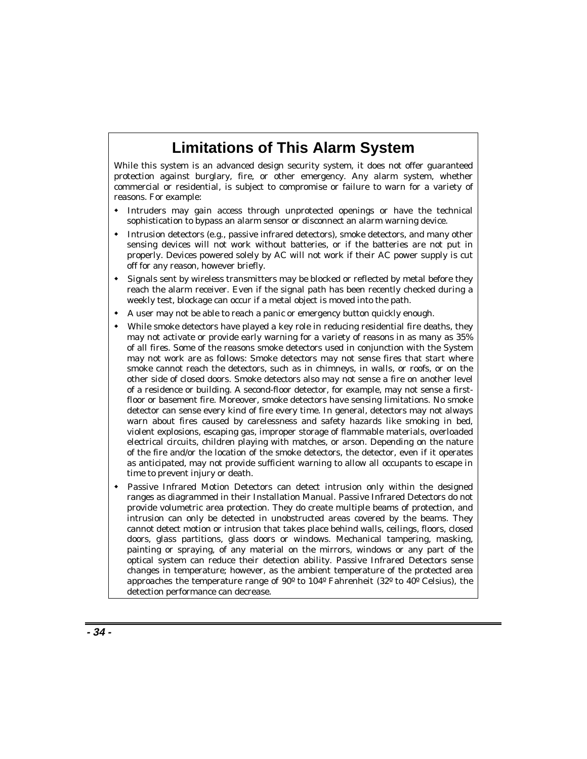# **Limitations of This Alarm System**

While this system is an advanced design security system, it does not offer guaranteed protection against burglary, fire, or other emergency. Any alarm system, whether commercial or residential, is subject to compromise or failure to warn for a variety of reasons. For example:

- $\overline{a}$  Intruders may gain access through unprotected openings or have the technical sophistication to bypass an alarm sensor or disconnect an alarm warning device.
- $\overline{a}$  Intrusion detectors (e.g., passive infrared detectors), smoke detectors, and many other sensing devices will not work without batteries, or if the batteries are not put in properly. Devices powered solely by AC will not work if their AC power supply is cut off for any reason, however briefly.
- $\overline{a}$  Signals sent by wireless transmitters may be blocked or reflected by metal before they reach the alarm receiver. Even if the signal path has been recently checked during a weekly test, blockage can occur if a metal object is moved into the path.
- $\overline{a}$ A user may not be able to reach a panic or emergency button quickly enough.
- $\overline{a}$  While smoke detectors have played a key role in reducing residential fire deaths, they may not activate or provide early warning for a variety of reasons in as many as 35% of all fires. Some of the reasons smoke detectors used in conjunction with the System may not work are as follows: Smoke detectors may not sense fires that start where smoke cannot reach the detectors, such as in chimneys, in walls, or roofs, or on the other side of closed doors. Smoke detectors also may not sense a fire on another level of a residence or building. A second-floor detector, for example, may not sense a firstfloor or basement fire. Moreover, smoke detectors have sensing limitations. No smoke detector can sense every kind of fire every time. In general, detectors may not always warn about fires caused by carelessness and safety hazards like smoking in bed, violent explosions, escaping gas, improper storage of flammable materials, overloaded electrical circuits, children playing with matches, or arson. Depending on the nature of the fire and/or the location of the smoke detectors, the detector, even if it operates as anticipated, may not provide sufficient warning to allow all occupants to escape in time to prevent injury or death.
- $\overline{a}$  Passive Infrared Motion Detectors can detect intrusion only within the designed ranges as diagrammed in their Installation Manual. Passive Infrared Detectors do not provide volumetric area protection. They do create multiple beams of protection, and intrusion can only be detected in unobstructed areas covered by the beams. They cannot detect motion or intrusion that takes place behind walls, ceilings, floors, closed doors, glass partitions, glass doors or windows. Mechanical tampering, masking, painting or spraying, of any material on the mirrors, windows or any part of the optical system can reduce their detection ability. Passive Infrared Detectors sense changes in temperature; however, as the ambient temperature of the protected area approaches the temperature range of 90º to 104º Fahrenheit (32º to 40º Celsius), the detection performance can decrease.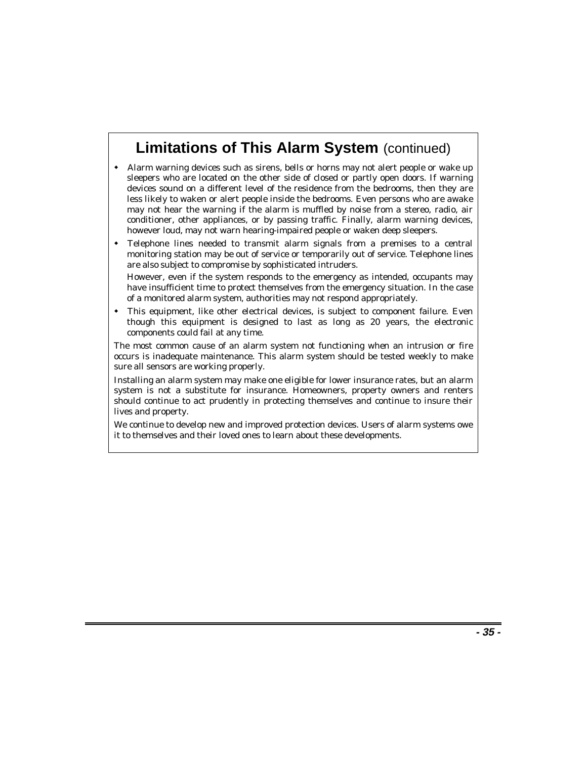# **Limitations of This Alarm System** (continued)

- $\overline{a}$  Alarm warning devices such as sirens, bells or horns may not alert people or wake up sleepers who are located on the other side of closed or partly open doors. If warning devices sound on a different level of the residence from the bedrooms, then they are less likely to waken or alert people inside the bedrooms. Even persons who are awake may not hear the warning if the alarm is muffled by noise from a stereo, radio, air conditioner, other appliances, or by passing traffic. Finally, alarm warning devices, however loud, may not warn hearing-impaired people or waken deep sleepers.
- $\overline{a}$  Telephone lines needed to transmit alarm signals from a premises to a central monitoring station may be out of service or temporarily out of service. Telephone lines are also subject to compromise by sophisticated intruders.

However, even if the system responds to the emergency as intended, occupants may have insufficient time to protect themselves from the emergency situation. In the case of a monitored alarm system, authorities may not respond appropriately.

 $\overline{a}$  This equipment, like other electrical devices, is subject to component failure. Even though this equipment is designed to last as long as 20 years, the electronic components could fail at any time.

The most common cause of an alarm system not functioning when an intrusion or fire occurs is inadequate maintenance. This alarm system should be tested weekly to make sure all sensors are working properly.

Installing an alarm system may make one eligible for lower insurance rates, but an alarm system is not a substitute for insurance. Homeowners, property owners and renters should continue to act prudently in protecting themselves and continue to insure their lives and property.

We continue to develop new and improved protection devices. Users of alarm systems owe it to themselves and their loved ones to learn about these developments.